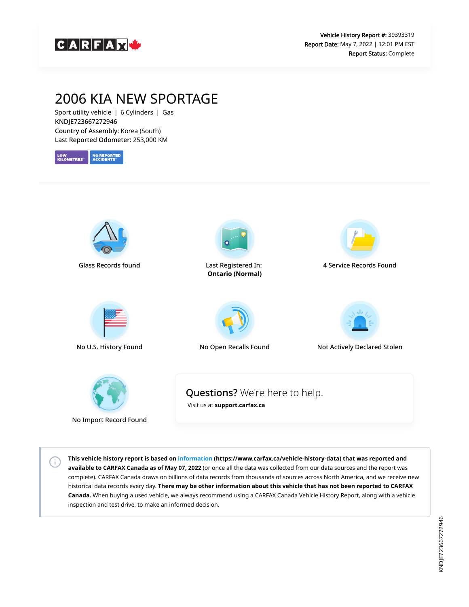

## 2006 KIA NEW SPORTAGE

Sport utility vehicle | 6 Cylinders | Gas KNDJE723667272946 Country of Assembly: Korea (South) Last Reported Odometer: 253,000 KM





No Import Record Found

 $\left( i\right)$ 

**This vehicle history report is based on [information](https://www.carfax.ca/vehicle-history-data) (https://www.carfax.ca/vehicle-history-data) that was reported and available to CARFAX Canada as of May 07, 2022** (or once all the data was collected from our data sources and the report was complete). CARFAX Canada draws on billions of data records from thousands of sources across North America, and we receive new historical data records every day. **There may be other information about this vehicle that has not been reported to CARFAX Canada.** When buying a used vehicle, we always recommend using a CARFAX Canada Vehicle History Report, along with a vehicle inspection and test drive, to make an informed decision.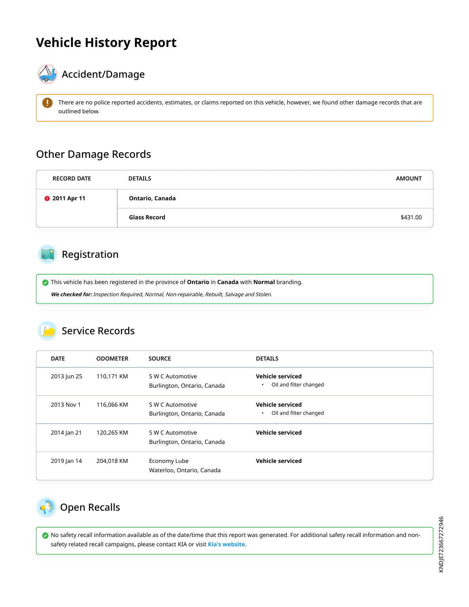# **Vehicle History Report**



# $\mathbf{A}_{\mathbf{F}}$  Accident/Damage

 There are no police reported accidents, estimates, or claims reported on this vehicle, however, we found other damage records that are outlined below.

#### Other Damage Records

| <b>RECORD DATE</b>   | <b>DETAILS</b>  | <b>AMOUNT</b> |
|----------------------|-----------------|---------------|
| <b>@</b> 2011 Apr 11 | Ontario, Canada |               |
|                      | Glass Record    | \$431.00      |

### Registration

 This vehicle has been registered in the province of **Ontario** in **Canada** with **Normal** branding. **We checked for:** Inspection Required, Normal, Non-repairable, Rebuilt, Salvage and Stolen.

#### Service Records

| <b>DATE</b> | <b>ODOMETER</b> | <b>SOURCE</b>                                   | <b>DETAILS</b>                                          |
|-------------|-----------------|-------------------------------------------------|---------------------------------------------------------|
| 2013 Jun 25 | 110,171 KM      | S W C Automotive<br>Burlington, Ontario, Canada | Vehicle serviced<br>Oil and filter changed<br>$\bullet$ |
| 2013 Nov 1  | 116,066 KM      | S W C Automotive<br>Burlington, Ontario, Canada | Vehicle serviced<br>Oil and filter changed<br>٠         |
| 2014 Jan 21 | 120,265 KM      | S W C Automotive<br>Burlington, Ontario, Canada | Vehicle serviced                                        |
| 2019 Jan 14 | 204,018 KM      | Economy Lube<br>Waterloo, Ontario, Canada       | Vehicle serviced                                        |

## <span id="page-1-0"></span>Open Recalls

 No safety recall information available as of the date/time that this report was generated. For additional safety recall information and nonsafety related recall campaigns, please contact KIA or visit **[Kia's website.](http://www.kia.ca/kia-recall)**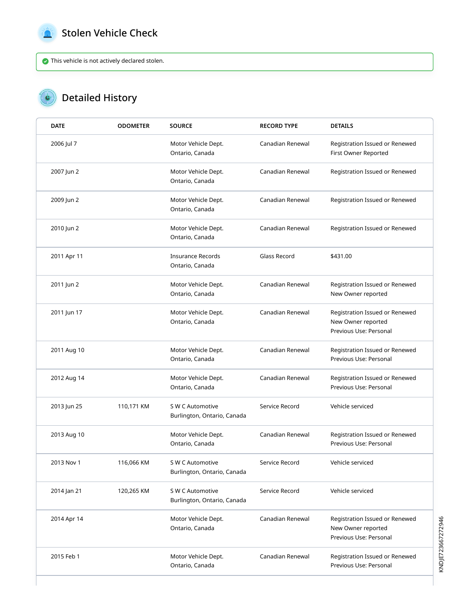<span id="page-2-0"></span>

 $\bullet$ 

### Stolen Vehicle Check

This vehicle is not actively declared stolen.

## Detailed History

| <b>DATE</b> | <b>ODOMETER</b> | <b>SOURCE</b>                                   | <b>RECORD TYPE</b> | <b>DETAILS</b>                                                                 |
|-------------|-----------------|-------------------------------------------------|--------------------|--------------------------------------------------------------------------------|
| 2006 Jul 7  |                 | Motor Vehicle Dept.<br>Ontario, Canada          | Canadian Renewal   | Registration Issued or Renewed<br>First Owner Reported                         |
| 2007 Jun 2  |                 | Motor Vehicle Dept.<br>Ontario, Canada          | Canadian Renewal   | Registration Issued or Renewed                                                 |
| 2009 Jun 2  |                 | Motor Vehicle Dept.<br>Ontario, Canada          | Canadian Renewal   | Registration Issued or Renewed                                                 |
| 2010 Jun 2  |                 | Motor Vehicle Dept.<br>Ontario, Canada          | Canadian Renewal   | Registration Issued or Renewed                                                 |
| 2011 Apr 11 |                 | <b>Insurance Records</b><br>Ontario, Canada     | Glass Record       | \$431.00                                                                       |
| 2011 Jun 2  |                 | Motor Vehicle Dept.<br>Ontario, Canada          | Canadian Renewal   | Registration Issued or Renewed<br>New Owner reported                           |
| 2011 Jun 17 |                 | Motor Vehicle Dept.<br>Ontario, Canada          | Canadian Renewal   | Registration Issued or Renewed<br>New Owner reported<br>Previous Use: Personal |
| 2011 Aug 10 |                 | Motor Vehicle Dept.<br>Ontario, Canada          | Canadian Renewal   | Registration Issued or Renewed<br>Previous Use: Personal                       |
| 2012 Aug 14 |                 | Motor Vehicle Dept.<br>Ontario, Canada          | Canadian Renewal   | Registration Issued or Renewed<br>Previous Use: Personal                       |
| 2013 Jun 25 | 110,171 KM      | S W C Automotive<br>Burlington, Ontario, Canada | Service Record     | Vehicle serviced                                                               |
| 2013 Aug 10 |                 | Motor Vehicle Dept.<br>Ontario, Canada          | Canadian Renewal   | Registration Issued or Renewed<br>Previous Use: Personal                       |
| 2013 Nov 1  | 116,066 KM      | S W C Automotive<br>Burlington, Ontario, Canada | Service Record     | Vehicle serviced                                                               |
| 2014 Jan 21 | 120,265 KM      | S W C Automotive<br>Burlington, Ontario, Canada | Service Record     | Vehicle serviced                                                               |
| 2014 Apr 14 |                 | Motor Vehicle Dept.<br>Ontario, Canada          | Canadian Renewal   | Registration Issued or Renewed<br>New Owner reported<br>Previous Use: Personal |
| 2015 Feb 1  |                 | Motor Vehicle Dept.<br>Ontario, Canada          | Canadian Renewal   | Registration Issued or Renewed<br>Previous Use: Personal                       |